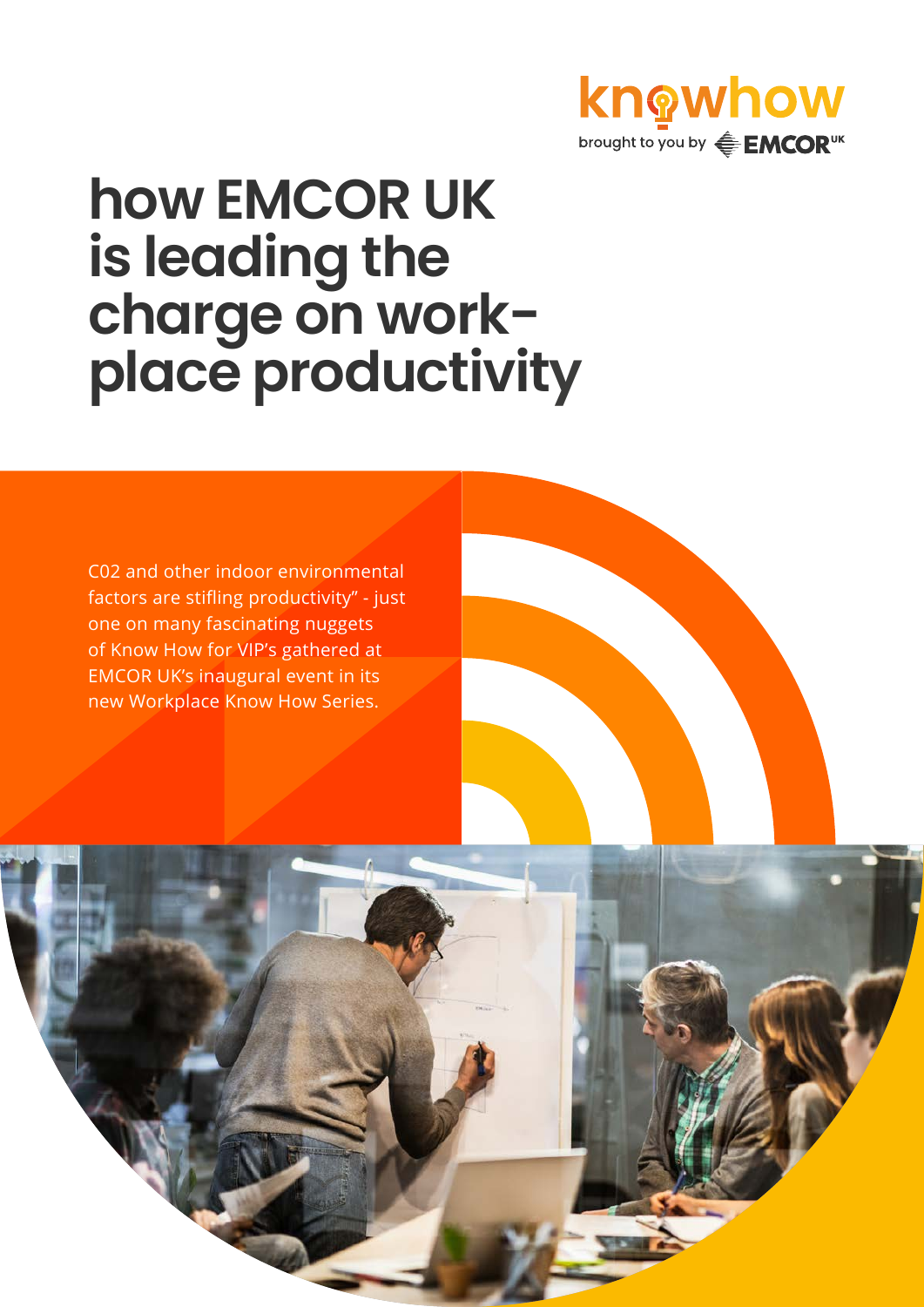

# **how EMCOR UK is leading the charge on workplace productivity**

C02 and other indoor environmental factors are stifling productivity" - just one on many fascinating nuggets of Know How for VIP's gathered at EMCOR UK's inaugural event in its new Workplace Know How Series.

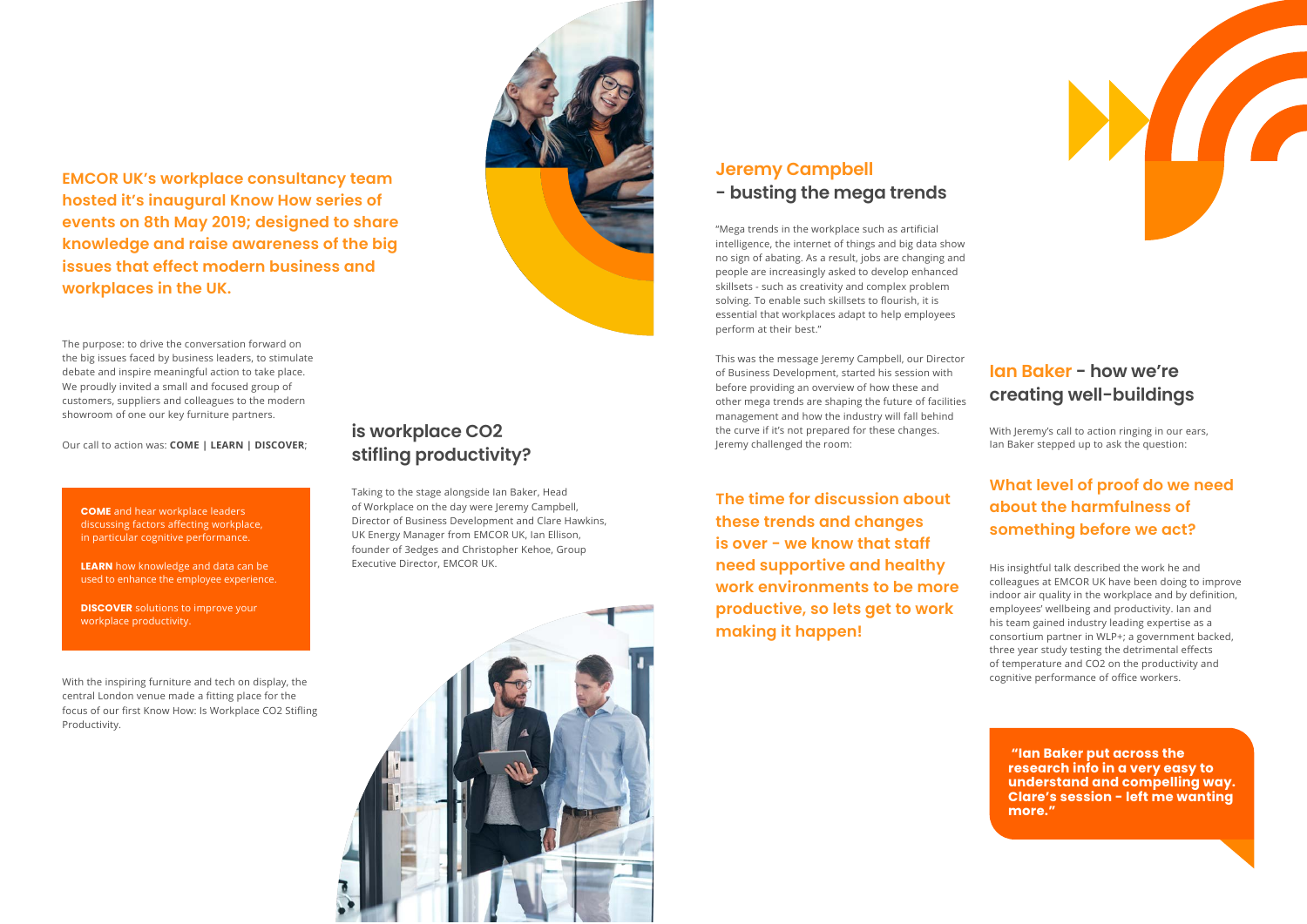**EMCOR UK's workplace consultancy team hosted it's inaugural Know How series of events on 8th May 2019; designed to share knowledge and raise awareness of the big issues that effect modern business and workplaces in the UK.**

> **The time for discussion about these trends and changes is over - we know that staff need supportive and healthy work environments to be more productive, so lets get to work making it happen!**





#### **What level of proof do we need about the harmfulness of something before we act?**



## **Ian Baker - how we're creating well-buildings**

#### **is workplace CO2 stifling productivity?**

With Jeremy's call to action ringing in our ears, Ian Baker stepped up to ask the question:

"Mega trends in the workplace such as artificial intelligence, the internet of things and big data show no sign of abating. As a result, jobs are changing and people are increasingly asked to develop enhanced skillsets - such as creativity and complex problem solving. To enable such skillsets to flourish, it is essential that workplaces adapt to help employees perform at their best."

This was the message Jeremy Campbell, our Director of Business Development, started his session with before providing an overview of how these and other mega trends are shaping the future of facilities management and how the industry will fall behind the curve if it's not prepared for these changes. Jeremy challenged the room:

**DISCOVER** solutions to improve your workplace productivity.

His insightful talk described the work he and colleagues at EMCOR UK have been doing to improve indoor air quality in the workplace and by definition, employees' wellbeing and productivity. Ian and his team gained industry leading expertise as a consortium partner in WLP+; a government backed, three year study testing the detrimental effects of temperature and CO2 on the productivity and cognitive performance of office workers.

The purpose: to drive the conversation forward on the big issues faced by business leaders, to stimulate debate and inspire meaningful action to take place. We proudly invited a small and focused group of customers, suppliers and colleagues to the modern showroom of one our key furniture partners.

Our call to action was: **COME | LEARN | DISCOVER**;

With the inspiring furniture and tech on display, the central London venue made a fitting place for the focus of our first Know How: Is Workplace CO2 Stifling Productivity.

Taking to the stage alongside Ian Baker, Head of Workplace on the day were Jeremy Campbell, Director of Business Development and Clare Hawkins, UK Energy Manager from EMCOR UK, Ian Ellison, founder of 3edges and Christopher Kehoe, Group Executive Director, EMCOR UK.



**COME** and hear workplace leaders discussing factors affecting workplace, in particular cognitive performance.

**LEARN** how knowledge and data can be used to enhance the employee experience.

> **"Ian Baker put across the research info in a very easy to understand and compelling way. Clare's session - left me wanting more."**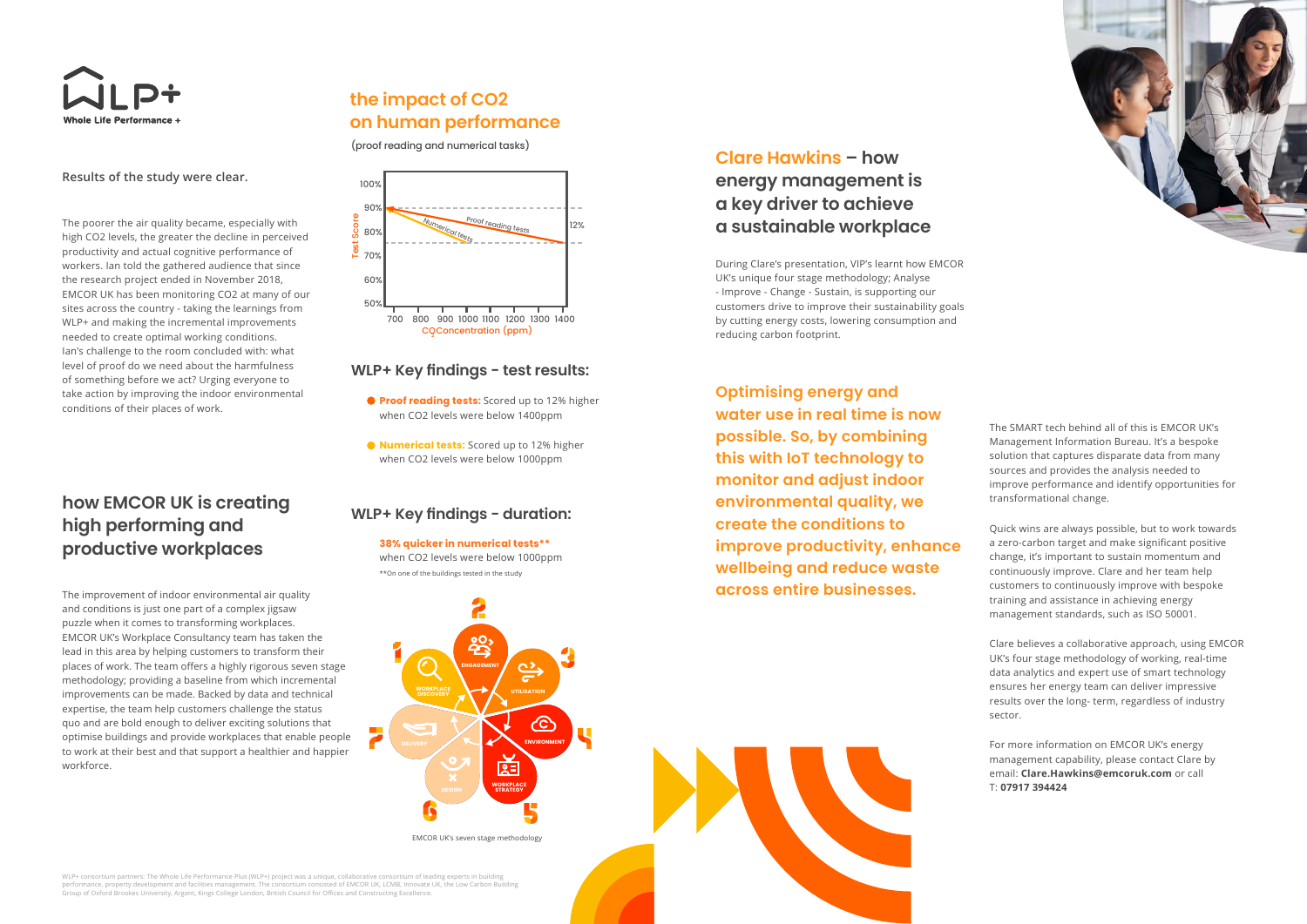

#### **Results of the study were clear.**

The poorer the air quality became, especially with high CO2 levels, the greater the decline in perceived productivity and actual cognitive performance of workers. Ian told the gathered audience that since the research project ended in November 2018, EMCOR UK has been monitoring CO2 at many of our sites across the country - taking the learnings from WLP+ and making the incremental improvements needed to create optimal working conditions. Ian's challenge to the room concluded with: what level of proof do we need about the harmfulness of something before we act? Urging everyone to take action by improving the indoor environmental conditions of their places of work.

The improvement of indoor environmental air quality and conditions is just one part of a complex jigsaw puzzle when it comes to transforming workplaces. EMCOR UK's Workplace Consultancy team has taken the lead in this area by helping customers to transform their places of work. The team offers a highly rigorous seven stage methodology; providing a baseline from which incremental improvements can be made. Backed by data and technical expertise, the team help customers challenge the status quo and are bold enough to deliver exciting solutions that optimise buildings and provide workplaces that enable people to work at their best and that support a healthier and happier workforce.

During Clare's presentation, VIP's learnt how EMCOR UK's unique four stage methodology; Analyse - Improve - Change - Sustain, is supporting our customers drive to improve their sustainability goals by cutting energy costs, lowering consumption and reducing carbon footprint.

WLP+ consortium partners: The Whole Life Performance Plus (WLP+) project was a unique, collaborative consortium of leading experts in building performance, property development and facilities management. The consortium consisted of EMCOR UK, LCMB, Innovate UK, the Low Carbon Building<br>Group of Oxford Brookes University, Argent, Kings College London, British Counci



The SMART tech behind all of this is EMCOR UK's Management Information Bureau. It's a bespoke solution that captures disparate data from many sources and provides the analysis needed to improve performance and identify opportunities for transformational change.

Quick wins are always possible, but to work towards a zero-carbon target and make significant positive change, it's important to sustain momentum and continuously improve. Clare and her team help customers to continuously improve with bespoke training and assistance in achieving energy management standards, such as ISO 50001.

Clare believes a collaborative approach, using EMCOR UK's four stage methodology of working, real-time data analytics and expert use of smart technology ensures her energy team can deliver impressive results over the long- term, regardless of industry sector.

For more information on EMCOR UK's energy management capability, please contact Clare by email: **Clare.Hawkins@emcoruk.com** or call T: **07917 394424**

**Optimising energy and water use in real time is now possible. So, by combining this with IoT technology to monitor and adjust indoor environmental quality, we create the conditions to improve productivity, enhance wellbeing and reduce waste across entire businesses.**

## **how EMCOR UK is creating high performing and productive workplaces**

#### **the impact of CO2 on human performance**

#### **WLP+ Key findings - test results:**

#### **WLP+ Key findings - duration:**

#### **Clare Hawkins – how energy management is a key driver to achieve a sustainable workplace**

EMCOR UK's seven stage methodology

# **ENGAGEMENT WORKPLACE UTILISATION DISCOVERY ENVIRONMENT**  $2 =$ **WORKPLACE DESIGN STRATEGY**

(proof reading and numerical tasks)

\*\*On one of the buildings tested in the study when CO2 levels were below 1000ppm

- **Proof reading tests:** Scored up to 12% higher when CO2 levels were below 1400ppm
- **Numerical tests:** Scored up to 12% higher when CO2 levels were below 1000ppm

#### **38% quicker in numerical tests\*\***

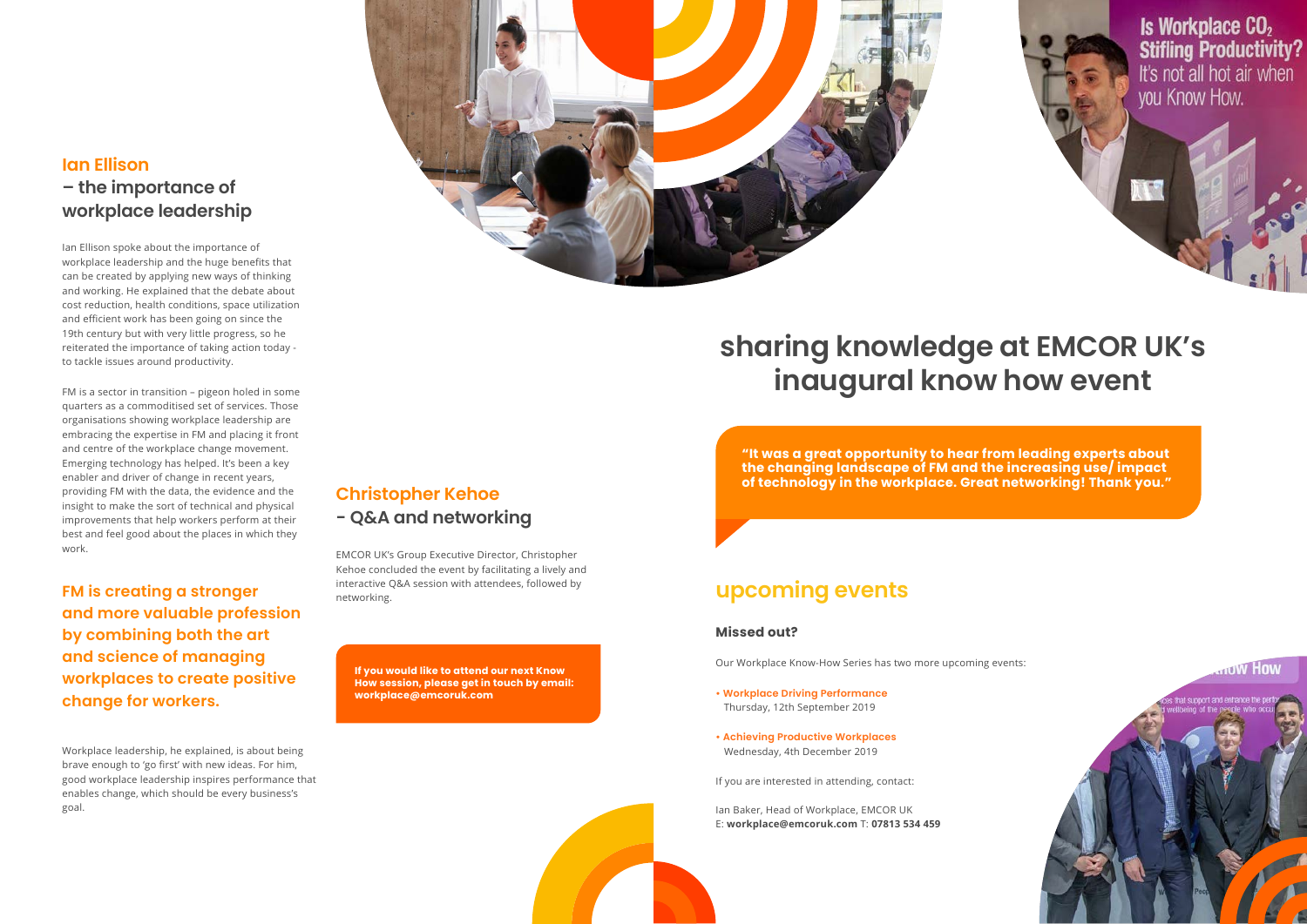Ian Ellison spoke about the importance of workplace leadership and the huge benefits that can be created by applying new ways of thinking and working. He explained that the debate about cost reduction, health conditions, space utilization and efficient work has been going on since the 19th century but with very little progress, so he reiterated the importance of taking action today to tackle issues around productivity.

FM is a sector in transition – pigeon holed in some quarters as a commoditised set of services. Those organisations showing workplace leadership are embracing the expertise in FM and placing it front and centre of the workplace change movement. Emerging technology has helped. It's been a key enabler and driver of change in recent years, providing FM with the data, the evidence and the insight to make the sort of technical and physical improvements that help workers perform at their best and feel good about the places in which they work.

Workplace leadership, he explained, is about being brave enough to 'go first' with new ideas. For him, good workplace leadership inspires performance that enables change, which should be every business's goal.



EMCOR UK's Group Executive Director, Christopher Kehoe concluded the event by facilitating a lively and interactive Q&A session with attendees, followed by networking.

#### **Missed out?**

Our Workplace Know-How Series has two more upcoming events:

- **Workplace Driving Performance** Thursday, 12th September 2019
- **Achieving Productive Workplaces** Wednesday, 4th December 2019

If you are interested in attending, contact:

Ian Baker, Head of Workplace, EMCOR UK E: **workplace@emcoruk.com** T: **07813 534 459**

Is Workplace CO<sub>2</sub> **Stifling Productivity?** It's not all hot air when you Know How.



**FM is creating a stronger and more valuable profession by combining both the art and science of managing workplaces to create positive change for workers.**

# **sharing knowledge at EMCOR UK's inaugural know how event**

## **upcoming events**

#### **Christopher Kehoe - Q&A and networking**

## **Ian Ellison – the importance of workplace leadership**

**If you would like to attend our next Know How session, please get in touch by email: workplace@emcoruk.com**

**"It was a great opportunity to hear from leading experts about the changing landscape of FM and the increasing use/ impact of technology in the workplace. Great networking! Thank you."**